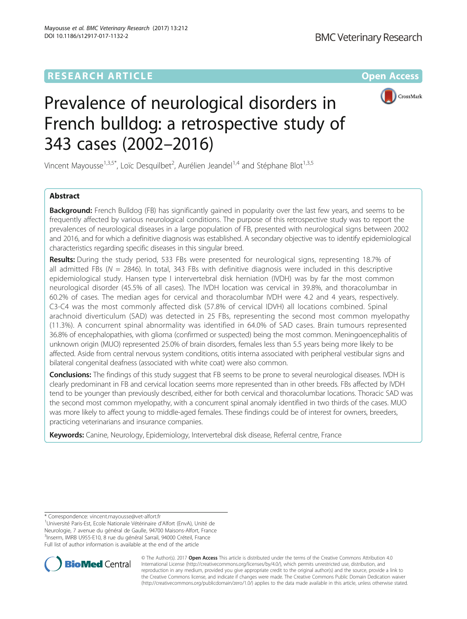## **RESEARCH ARTICLE Example 2014 12:30 The Community Community Community Community Community Community Community**



# Prevalence of neurological disorders in French bulldog: a retrospective study of 343 cases (2002–2016)

Vincent Mayousse<sup>1,3,5\*</sup>, Loïc Desquilbet<sup>2</sup>, Aurélien Jeandel<sup>1,4</sup> and Stéphane Blot<sup>1,3,5</sup>

## Abstract

**Background:** French Bulldog (FB) has significantly gained in popularity over the last few years, and seems to be frequently affected by various neurological conditions. The purpose of this retrospective study was to report the prevalences of neurological diseases in a large population of FB, presented with neurological signs between 2002 and 2016, and for which a definitive diagnosis was established. A secondary objective was to identify epidemiological characteristics regarding specific diseases in this singular breed.

Results: During the study period, 533 FBs were presented for neurological signs, representing 18.7% of all admitted FBs ( $N = 2846$ ). In total, 343 FBs with definitive diagnosis were included in this descriptive epidemiological study. Hansen type I intervertebral disk herniation (IVDH) was by far the most common neurological disorder (45.5% of all cases). The IVDH location was cervical in 39.8%, and thoracolumbar in 60.2% of cases. The median ages for cervical and thoracolumbar IVDH were 4.2 and 4 years, respectively. C3-C4 was the most commonly affected disk (57.8% of cervical IDVH) all locations combined. Spinal arachnoid diverticulum (SAD) was detected in 25 FBs, representing the second most common myelopathy (11.3%). A concurrent spinal abnormality was identified in 64.0% of SAD cases. Brain tumours represented 36.8% of encephalopathies, with glioma (confirmed or suspected) being the most common. Meningoencephalitis of unknown origin (MUO) represented 25.0% of brain disorders, females less than 5.5 years being more likely to be affected. Aside from central nervous system conditions, otitis interna associated with peripheral vestibular signs and bilateral congenital deafness (associated with white coat) were also common.

Conclusions: The findings of this study suggest that FB seems to be prone to several neurological diseases. IVDH is clearly predominant in FB and cervical location seems more represented than in other breeds. FBs affected by IVDH tend to be younger than previously described, either for both cervical and thoracolumbar locations. Thoracic SAD was the second most common myelopathy, with a concurrent spinal anomaly identified in two thirds of the cases. MUO was more likely to affect young to middle-aged females. These findings could be of interest for owners, breeders, practicing veterinarians and insurance companies.

Keywords: Canine, Neurology, Epidemiology, Intervertebral disk disease, Referral centre, France

\* Correspondence: [vincent.mayousse@vet-alfort.fr](mailto:vincent.mayousse@vet-alfort.fr) <sup>1</sup>

<sup>&</sup>lt;sup>1</sup>Université Paris-Est, Ecole Nationale Vétérinaire d'Alfort (EnvA), Unité de Neurologie, 7 avenue du général de Gaulle, 94700 Maisons-Alfort, France <sup>3</sup>Inserm, IMRB U955-E10, 8 rue du général Sarrail, 94000 Créteil, France Full list of author information is available at the end of the article



© The Author(s). 2017 **Open Access** This article is distributed under the terms of the Creative Commons Attribution 4.0 International License [\(http://creativecommons.org/licenses/by/4.0/](http://creativecommons.org/licenses/by/4.0/)), which permits unrestricted use, distribution, and reproduction in any medium, provided you give appropriate credit to the original author(s) and the source, provide a link to the Creative Commons license, and indicate if changes were made. The Creative Commons Public Domain Dedication waiver [\(http://creativecommons.org/publicdomain/zero/1.0/](http://creativecommons.org/publicdomain/zero/1.0/)) applies to the data made available in this article, unless otherwise stated.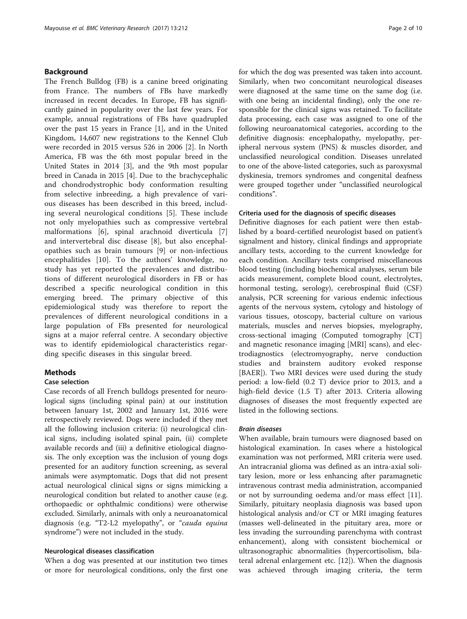## Background

The French Bulldog (FB) is a canine breed originating from France. The numbers of FBs have markedly increased in recent decades. In Europe, FB has significantly gained in popularity over the last few years. For example, annual registrations of FBs have quadrupled over the past 15 years in France [[1\]](#page-8-0), and in the United Kingdom, 14,607 new registrations to the Kennel Club were recorded in 2015 versus 526 in 2006 [[2\]](#page-8-0). In North America, FB was the 6th most popular breed in the United States in 2014 [[3\]](#page-8-0), and the 9th most popular breed in Canada in 2015 [\[4](#page-8-0)]. Due to the brachycephalic and chondrodystrophic body conformation resulting from selective inbreeding, a high prevalence of various diseases has been described in this breed, including several neurological conditions [\[5](#page-8-0)]. These include not only myelopathies such as compressive vertebral malformations [\[6](#page-8-0)], spinal arachnoid diverticula [\[7](#page-8-0)] and intervertebral disc disease [[8\]](#page-8-0), but also encephalopathies such as brain tumours [\[9](#page-8-0)] or non-infectious encephalitides [[10\]](#page-8-0). To the authors' knowledge, no study has yet reported the prevalences and distributions of different neurological disorders in FB or has described a specific neurological condition in this emerging breed. The primary objective of this epidemiological study was therefore to report the prevalences of different neurological conditions in a large population of FBs presented for neurological signs at a major referral centre. A secondary objective was to identify epidemiological characteristics regarding specific diseases in this singular breed.

## **Methods**

## Case selection

Case records of all French bulldogs presented for neurological signs (including spinal pain) at our institution between January 1st, 2002 and January 1st, 2016 were retrospectively reviewed. Dogs were included if they met all the following inclusion criteria: (i) neurological clinical signs, including isolated spinal pain, (ii) complete available records and (iii) a definitive etiological diagnosis. The only exception was the inclusion of young dogs presented for an auditory function screening, as several animals were asymptomatic. Dogs that did not present actual neurological clinical signs or signs mimicking a neurological condition but related to another cause (e.g. orthopaedic or ophthalmic conditions) were otherwise excluded. Similarly, animals with only a neuroanatomical diagnosis (e.g. "T2-L2 myelopathy", or "cauda equina syndrome") were not included in the study.

## Neurological diseases classification

When a dog was presented at our institution two times or more for neurological conditions, only the first one for which the dog was presented was taken into account. Similarly, when two concomitant neurological diseases were diagnosed at the same time on the same dog (i.e. with one being an incidental finding), only the one responsible for the clinical signs was retained. To facilitate data processing, each case was assigned to one of the following neuroanatomical categories, according to the definitive diagnosis: encephalopathy, myelopathy, peripheral nervous system (PNS) & muscles disorder, and unclassified neurological condition. Diseases unrelated to one of the above-listed categories, such as paroxysmal dyskinesia, tremors syndromes and congenital deafness were grouped together under "unclassified neurological conditions".

## Criteria used for the diagnosis of specific diseases

Definitive diagnoses for each patient were then established by a board-certified neurologist based on patient's signalment and history, clinical findings and appropriate ancillary tests, according to the current knowledge for each condition. Ancillary tests comprised miscellaneous blood testing (including biochemical analyses, serum bile acids measurement, complete blood count, electrolytes, hormonal testing, serology), cerebrospinal fluid (CSF) analysis, PCR screening for various endemic infectious agents of the nervous system, cytology and histology of various tissues, otoscopy, bacterial culture on various materials, muscles and nerves biopsies, myelography, cross-sectional imaging (Computed tomography [CT] and magnetic resonance imaging [MRI] scans), and electrodiagnostics (electromyography, nerve conduction studies and brainstem auditory evoked response [BAER]). Two MRI devices were used during the study period: a low-field (0.2 T) device prior to 2013, and a high-field device (1.5 T) after 2013. Criteria allowing diagnoses of diseases the most frequently expected are listed in the following sections.

## Brain diseases

When available, brain tumours were diagnosed based on histological examination. In cases where a histological examination was not performed, MRI criteria were used. An intracranial glioma was defined as an intra-axial solitary lesion, more or less enhancing after paramagnetic intravenous contrast media administration, accompanied or not by surrounding oedema and/or mass effect [\[11](#page-8-0)]. Similarly, pituitary neoplasia diagnosis was based upon histological analysis and/or CT or MRI imaging features (masses well-delineated in the pituitary area, more or less invading the surrounding parenchyma with contrast enhancement), along with consistent biochemical or ultrasonographic abnormalities (hypercortisolism, bilateral adrenal enlargement etc. [[12](#page-8-0)]). When the diagnosis was achieved through imaging criteria, the term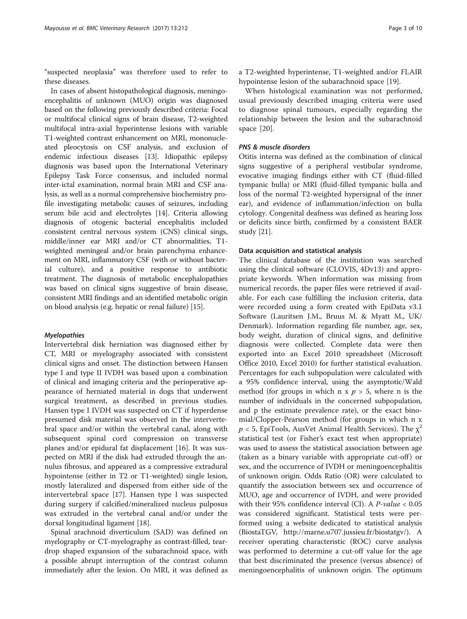"suspected neoplasia" was therefore used to refer to these diseases.

In cases of absent histopathological diagnosis, meningoencephalitis of unknown (MUO) origin was diagnosed based on the following previously described criteria: Focal or multifocal clinical signs of brain disease, T2-weighted multifocal intra-axial hyperintense lesions with variable T1-weighted contrast enhancement on MRI, mononucleated pleocytosis on CSF analysis, and exclusion of endemic infectious diseases [[13](#page-8-0)]. Idiopathic epilepsy diagnosis was based upon the International Veterinary Epilepsy Task Force consensus, and included normal inter-ictal examination, normal brain MRI and CSF analysis, as well as a normal comprehensive biochemistry profile investigating metabolic causes of seizures, including serum bile acid and electrolytes [\[14\]](#page-8-0). Criteria allowing diagnosis of otogenic bacterial encephalitis included consistent central nervous system (CNS) clinical sings, middle/inner ear MRI and/or CT abnormalities, T1 weighted meningeal and/or brain parenchyma enhancement on MRI, inflammatory CSF (with or without bacterial culture), and a positive response to antibiotic treatment. The diagnosis of metabolic encephalopathies was based on clinical signs suggestive of brain disease, consistent MRI findings and an identified metabolic origin on blood analysis (e.g. hepatic or renal failure) [\[15\]](#page-8-0).

#### Myelopathies

Intervertebral disk herniation was diagnosed either by CT, MRI or myelography associated with consistent clinical signs and onset. The distinction between Hansen type I and type II IVDH was based upon a combination of clinical and imaging criteria and the perioperative appearance of herniated material in dogs that underwent surgical treatment, as described in previous studies. Hansen type I IVDH was suspected on CT if hyperdense presumed disk material was observed in the intervertebral space and/or within the vertebral canal, along with subsequent spinal cord compression on transverse planes and/or epidural fat displacement [\[16](#page-8-0)]. It was suspected on MRI if the disk had extruded through the annulus fibrosus, and appeared as a compressive extradural hypointense (either in T2 or T1-weighted) single lesion, mostly lateralized and dispersed from either side of the intervertebral space [\[17](#page-8-0)]. Hansen type I was suspected during surgery if calcified/mineralized nucleus pulposus was extruded in the vertebral canal and/or under the dorsal longitudinal ligament [[18\]](#page-8-0).

Spinal arachnoid diverticulum (SAD) was defined on myelography or CT-myelography as contrast-filled, teardrop shaped expansion of the subarachnoid space, with a possible abrupt interruption of the contrast column immediately after the lesion. On MRI, it was defined as a T2-weighted hyperintense, T1-weighted and/or FLAIR hypointense lesion of the subarachnoid space [\[19](#page-8-0)].

When histological examination was not performed, usual previously described imaging criteria were used to diagnose spinal tumours, especially regarding the relationship between the lesion and the subarachnoid space [[20\]](#page-8-0).

## PNS & muscle disorders

Otitis interna was defined as the combination of clinical signs suggestive of a peripheral vestibular syndrome, evocative imaging findings either with CT (fluid-filled tympanic bulla) or MRI (fluid-filled tympanic bulla and loss of the normal T2-weighted hypersignal of the inner ear), and evidence of inflammation/infection on bulla cytology. Congenital deafness was defined as hearing loss or deficits since birth, confirmed by a consistent BAER study [[21\]](#page-8-0).

## Data acquisition and statistical analysis

The clinical database of the institution was searched using the clinical software (CLOVIS, 4Dv13) and appropriate keywords. When information was missing from numerical records, the paper files were retrieved if available. For each case fulfilling the inclusion criteria, data were recorded using a form created with EpiData v3.1 Software (Lauritsen J.M., Bruus M. & Myatt M., UK/ Denmark). Information regarding file number, age, sex, body weight, duration of clinical signs, and definitive diagnosis were collected. Complete data were then exported into an Excel 2010 spreadsheet (Microsoft Office 2010, Excel 2010) for further statistical evaluation. Percentages for each subpopulation were calculated with a 95% confidence interval, using the asymptotic/Wald method (for groups in which  $n \times p > 5$ , where n is the number of individuals in the concerned subpopulation, and p the estimate prevalence rate), or the exact binomial/Clopper-Pearson method (for groups in which n x  $p < 5$ , EpiTools, AusVet Animal Health Services). The  $\chi^2$ statistical test (or Fisher's exact test when appropriate) was used to assess the statistical association between age (taken as a binary variable with appropriate cut-off) or sex, and the occurrence of IVDH or meningoencephalitis of unknown origin. Odds Ratio (OR) were calculated to quantify the association between sex and occurrence of MUO, age and occurrence of IVDH, and were provided with their 95% confidence interval (CI). A *P-value*  $< 0.05$ was considered significant. Statistical tests were performed using a website dedicated to statistical analysis (BiostaTGV, [http://marne.u707.jussieu.fr/biostatgv/\)](http://marne.u707.jussieu.fr/biostatgv/). A receiver operating characteristic (ROC) curve analysis was performed to determine a cut-off value for the age that best discriminated the presence (versus absence) of meningoencephalitis of unknown origin. The optimum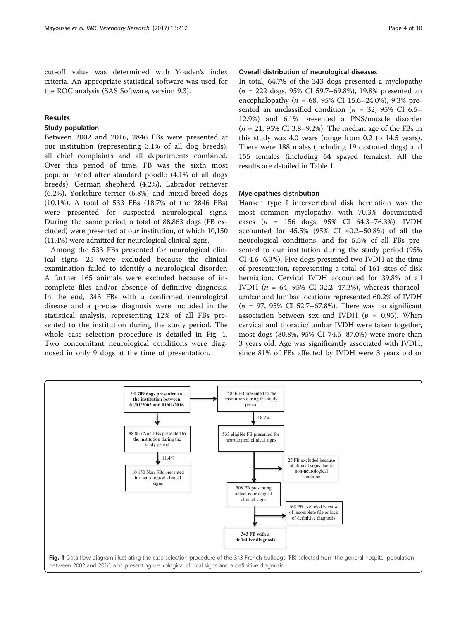cut-off value was determined with Youden's index criteria. An appropriate statistical software was used for the ROC analysis (SAS Software, version 9.3).

## **Results**

## Study population

Between 2002 and 2016, 2846 FBs were presented at our institution (representing 3.1% of all dog breeds), all chief complaints and all departments combined. Over this period of time, FB was the sixth most popular breed after standard poodle (4.1% of all dogs breeds), German shepherd (4.2%), Labrador retriever (6.2%), Yorkshire terrier (6.8%) and mixed-breed dogs (10.1%). A total of 533 FBs (18.7% of the 2846 FBs) were presented for suspected neurological signs. During the same period, a total of 88,863 dogs (FB excluded) were presented at our institution, of which 10,150 (11.4%) were admitted for neurological clinical signs.

Among the 533 FBs presented for neurological clinical signs, 25 were excluded because the clinical examination failed to identify a neurological disorder. A further 165 animals were excluded because of incomplete files and/or absence of definitive diagnosis. In the end, 343 FBs with a confirmed neurological disease and a precise diagnosis were included in the statistical analysis, representing 12% of all FBs presented to the institution during the study period. The whole case selection procedure is detailed in Fig. 1. Two concomitant neurological conditions were diagnosed in only 9 dogs at the time of presentation.

## Overall distribution of neurological diseases

In total, 64.7% of the 343 dogs presented a myelopathy  $(n = 222 \text{ dogs}, 95\% \text{ CI } 59.7-69.8\%)$ , 19.8% presented an encephalopathy ( $n = 68, 95\%$  CI 15.6–24.0%), 9.3% presented an unclassified condition ( $n = 32$ , 95% CI 6.5– 12.9%) and 6.1% presented a PNS/muscle disorder  $(n = 21, 95\% \text{ CI } 3.8-9.2\%).$  The median age of the FBs in this study was 4.0 years (range from 0.2 to 14.5 years). There were 188 males (including 19 castrated dogs) and 155 females (including 64 spayed females). All the results are detailed in Table [1.](#page-4-0)

## Myelopathies distribution

Hansen type I intervertebral disk herniation was the most common myelopathy, with 70.3% documented cases (n = 156 dogs, 95% CI 64.3–76.3%). IVDH accounted for 45.5% (95% CI 40.2–50.8%) of all the neurological conditions, and for 5.5% of all FBs presented to our institution during the study period (95% CI 4.6–6.3%). Five dogs presented two IVDH at the time of presentation, representing a total of 161 sites of disk herniation. Cervical IVDH accounted for 39.8% of all IVDH ( $n = 64$ , 95% CI 32.2-47.3%), whereas thoracolumbar and lumbar locations represented 60.2% of IVDH  $(n = 97, 95\% \text{ CI } 52.7 - 67.8\%).$  There was no significant association between sex and IVDH ( $p = 0.95$ ). When cervical and thoracic/lumbar IVDH were taken together, most dogs (80.8%, 95% CI 74.6–87.0%) were more than 3 years old. Age was significantly associated with IVDH, since 81% of FBs affected by IVDH were 3 years old or

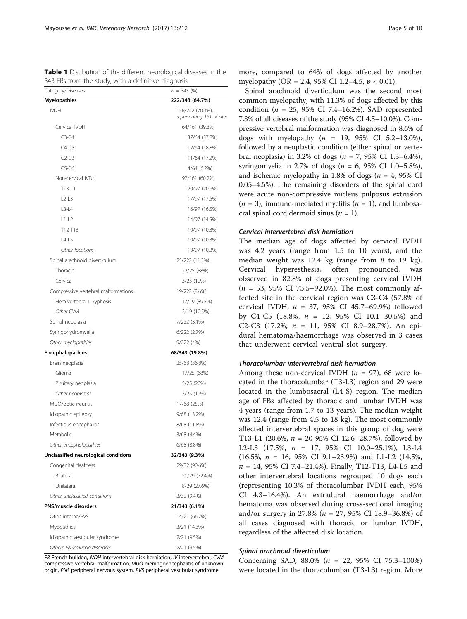<span id="page-4-0"></span>Table 1 Distibution of the different neurological diseases in the 343 FBs from the study, with a definitive diagnosis

| Category/Diseases                    | $N = 343(%)$                                  |
|--------------------------------------|-----------------------------------------------|
| Myelopathies                         | 222/343 (64.7%)                               |
| <b>IVDH</b>                          | 156/222 (70.3%),<br>representing 161 IV sites |
| Cervical IVDH                        | 64/161 (39.8%)                                |
| $C3-C4$                              | 37/64 (57.8%)                                 |
| $C4-C5$                              | 12/64 (18.8%)                                 |
| $C2-C3$                              | 11/64 (17.2%)                                 |
| $C5-C6$                              | 4/64 (6.2%)                                   |
| Non-cervical IVDH                    | 97/161 (60.2%)                                |
| T13-L1                               | 20/97 (20.6%)                                 |
| $L2-L3$                              | 17/97 (17.5%)                                 |
| $L3-L4$                              | 16/97 (16.5%)                                 |
| $L1-L2$                              | 14/97 (14.5%)                                 |
| T12-T13                              | 10/97 (10.3%)                                 |
| $L4-L5$                              | 10/97 (10.3%)                                 |
| Other locations                      | 10/97 (10.3%)                                 |
| Spinal arachnoid diverticulum        | 25/222 (11.3%)                                |
| Thoracic                             | 22/25 (88%)                                   |
| Cervical                             | 3/25 (12%)                                    |
| Compressive vertebral malformations  | 19/222 (8.6%)                                 |
| Hemivertebra + kyphosis              | 17/19 (89.5%)                                 |
| Other CVM                            | 2/19 (10.5%)                                  |
| Spinal neoplasia                     | 7/222 (3.1%)                                  |
| Syringohydromyelia                   | 6/222 (2.7%)                                  |
| Other myelopathies                   | 9/222 (4%)                                    |
| <b>Encephalopathies</b>              | 68/343 (19.8%)                                |
| Brain neoplasia                      | 25/68 (36.8%)                                 |
| Glioma                               | 17/25 (68%)                                   |
| Pituitary neoplasia                  | 5/25 (20%)                                    |
| Other neoplasias                     | 3/25 (12%)                                    |
| MUO/optic neuritis                   | 17/68 (25%)                                   |
| Idiopathic epilepsy                  | 9/68 (13.2%)                                  |
| Infectious encephalitis              | 8/68 (11.8%)                                  |
| Metabolic                            | 3/68 (4.4%)                                   |
| Other encephalopathies               | $6/68$ $(8.8\%)$                              |
| Unclassified neurological conditions | 32/343 (9.3%)                                 |
| Congenital deafness                  | 29/32 (90.6%)                                 |
| Bilateral                            | 21/29 (72.4%)                                 |
| Unilateral                           | 8/29 (27.6%)                                  |
| Other unclassified conditions        | 3/32 (9.4%)                                   |
| PNS/muscle disorders                 | 21/343 (6.1%)                                 |
| Otitis interna/PVS                   | 14/21 (66.7%)                                 |
| Myopathies                           | 3/21 (14.3%)                                  |
| Idiopathic vestibular syndrome       | 2/21 (9.5%)                                   |
| Others PNS/muscle disorders          | 2/21 (9.5%)                                   |

FB French bulldog, IVDH intervertebral disk herniation, IV intervertebral, CVM compressive vertebral malformation, MUO meningoencephalitis of unknown origin, PNS peripheral nervous system, PVS peripheral vestibular syndrome

more, compared to 64% of dogs affected by another myelopathy (OR = 2.4, 95% CI 1.2–4.5,  $p < 0.01$ ).

Spinal arachnoid diverticulum was the second most common myelopathy, with 11.3% of dogs affected by this condition ( $n = 25$ , 95% CI 7.4–16.2%). SAD represented 7.3% of all diseases of the study (95% CI 4.5–10.0%). Compressive vertebral malformation was diagnosed in 8.6% of dogs with myelopathy  $(n = 19, 95\% \text{ CI } 5.2{\text -}13.0\%).$ followed by a neoplastic condition (either spinal or vertebral neoplasia) in 3.2% of dogs ( $n = 7$ , 95% CI 1.3–6.4%), syringomyelia in 2.7% of dogs ( $n = 6$ , 95% CI 1.0–5.8%), and ischemic myelopathy in 1.8% of dogs ( $n = 4$ , 95% CI 0.05–4.5%). The remaining disorders of the spinal cord were acute non-compressive nucleus pulposus extrusion  $(n = 3)$ , immune-mediated myelitis  $(n = 1)$ , and lumbosacral spinal cord dermoid sinus ( $n = 1$ ).

## Cervical intervertebral disk herniation

The median age of dogs affected by cervical IVDH was 4.2 years (range from 1.5 to 10 years), and the median weight was 12.4 kg (range from 8 to 19 kg). Cervical hyperesthesia, often pronounced, was observed in 82.8% of dogs presenting cervical IVDH  $(n = 53, 95\% \text{ CI } 73.5 - 92.0\%).$  The most commonly affected site in the cervical region was C3-C4 (57.8% of cervical IVDH,  $n = 37,95\%$  CI 45.7–69.9%) followed by C4-C5 (18.8%,  $n = 12$ , 95% CI 10.1-30.5%) and C2-C3 (17.2%,  $n = 11$ , 95% CI 8.9–28.7%). An epidural hematoma/haemorrhage was observed in 3 cases that underwent cervical ventral slot surgery.

## Thoracolumbar intervertebral disk herniation

Among these non-cervical IVDH ( $n = 97$ ), 68 were located in the thoracolumbar (T3-L3) region and 29 were located in the lumbosacral (L4-S) region. The median age of FBs affected by thoracic and lumbar IVDH was 4 years (range from 1.7 to 13 years). The median weight was 12.4 (range from 4.5 to 18 kg). The most commonly affected intervertebral spaces in this group of dog were T13-L1 (20.6%,  $n = 2095\%$  CI 12.6–28.7%), followed by L2-L3 (17.5%, n = 17, 95% CI 10.0–25.1%), L3-L4 (16.5%,  $n = 16$ , 95% CI 9.1-23.9%) and L1-L2 (14.5%,  $n = 14$ , 95% CI 7.4-21.4%). Finally, T12-T13, L4-L5 and other intervertebral locations regrouped 10 dogs each (representing 10.3% of thoracolumbar IVDH each, 95% CI 4.3–16.4%). An extradural haemorrhage and/or hematoma was observed during cross-sectional imaging and/or surgery in 27.8% (n = 27, 95% CI 18.9–36.8%) of all cases diagnosed with thoracic or lumbar IVDH, regardless of the affected disk location.

#### Spinal arachnoid diverticulum

Concerning SAD, 88.0% ( $n = 22, 95\%$  CI 75.3–100%) were located in the thoracolumbar (T3-L3) region. More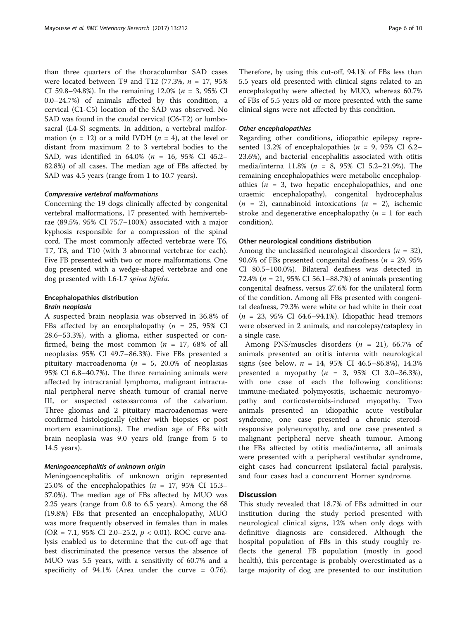than three quarters of the thoracolumbar SAD cases were located between T9 and T12 (77.3%,  $n = 17$ , 95% CI 59.8–94.8%). In the remaining 12.0% ( $n = 3$ , 95% CI 0.0–24.7%) of animals affected by this condition, a cervical (C1-C5) location of the SAD was observed. No SAD was found in the caudal cervical (C6-T2) or lumbosacral (L4-S) segments. In addition, a vertebral malformation ( $n = 12$ ) or a mild IVDH ( $n = 4$ ), at the level or distant from maximum 2 to 3 vertebral bodies to the SAD, was identified in  $64.0\%$  ( $n = 16$ , 95% CI 45.2– 82.8%) of all cases. The median age of FBs affected by SAD was 4.5 years (range from 1 to 10.7 years).

## Compressive vertebral malformations

Concerning the 19 dogs clinically affected by congenital vertebral malformations, 17 presented with hemivertebrae (89.5%, 95% CI 75.7–100%) associated with a major kyphosis responsible for a compression of the spinal cord. The most commonly affected vertebrae were T6, T7, T8, and T10 (with 3 abnormal vertebrae for each). Five FB presented with two or more malformations. One dog presented with a wedge-shaped vertebrae and one dog presented with L6-L7 spina bifida.

## Encephalopathies distribution Brain neoplasia

A suspected brain neoplasia was observed in 36.8% of FBs affected by an encephalopathy ( $n = 25$ , 95% CI 28.6–53.3%), with a glioma, either suspected or confirmed, being the most common ( $n = 17$ , 68% of all neoplasias 95% CI 49.7–86.3%). Five FBs presented a pituitary macroadenoma ( $n = 5$ , 20.0% of neoplasias 95% CI 6.8–40.7%). The three remaining animals were affected by intracranial lymphoma, malignant intracranial peripheral nerve sheath tumour of cranial nerve III, or suspected osteosarcoma of the calvarium. Three gliomas and 2 pituitary macroadenomas were confirmed histologically (either with biopsies or post mortem examinations). The median age of FBs with brain neoplasia was 9.0 years old (range from 5 to 14.5 years).

## Meningoencephalitis of unknown origin

Meningoencephalitis of unknown origin represented 25.0% of the encephalopathies ( $n = 17$ , 95% CI 15.3– 37.0%). The median age of FBs affected by MUO was 2.25 years (range from 0.8 to 6.5 years). Among the 68 (19.8%) FBs that presented an encephalopathy, MUO was more frequently observed in females than in males (OR = 7.1, 95% CI 2.0–25.2,  $p < 0.01$ ). ROC curve analysis enabled us to determine that the cut-off age that best discriminated the presence versus the absence of MUO was 5.5 years, with a sensitivity of 60.7% and a specificity of  $94.1\%$  (Area under the curve = 0.76).

Therefore, by using this cut-off, 94.1% of FBs less than 5.5 years old presented with clinical signs related to an encephalopathy were affected by MUO, whereas 60.7% of FBs of 5.5 years old or more presented with the same clinical signs were not affected by this condition.

## Other encephalopathies

Regarding other conditions, idiopathic epilepsy represented 13.2% of encephalopathies ( $n = 9$ , 95% CI 6.2– 23.6%), and bacterial encephalitis associated with otitis media/interna 11.8% ( $n = 8$ , 95% CI 5.2-21.9%). The remaining encephalopathies were metabolic encephalopathies ( $n = 3$ , two hepatic encephalopathies, and one uraemic encephalopathy), congenital hydrocephalus  $(n = 2)$ , cannabinoid intoxications  $(n = 2)$ , ischemic stroke and degenerative encephalopathy ( $n = 1$  for each condition).

#### Other neurological conditions distribution

Among the unclassified neurological disorders ( $n = 32$ ), 90.6% of FBs presented congenital deafness ( $n = 29,95\%$ ) CI 80.5–100.0%). Bilateral deafness was detected in 72.4% ( $n = 21,95\%$  CI 56.1–88.7%) of animals presenting congenital deafness, versus 27.6% for the unilateral form of the condition. Among all FBs presented with congenital deafness, 79.3% were white or had white in their coat  $(n = 23, 95\% \text{ CI } 64.6-94.1\%).$  Idiopathic head tremors were observed in 2 animals, and narcolepsy/cataplexy in a single case.

Among PNS/muscles disorders  $(n = 21)$ , 66.7% of animals presented an otitis interna with neurological signs (see below,  $n = 14$ , 95% CI 46.5–86.8%), 14.3% presented a myopathy ( $n = 3, 95\%$  CI 3.0–36.3%), with one case of each the following conditions: immune-mediated polymyositis, ischaemic neuromyopathy and corticosteroids-induced myopathy. Two animals presented an idiopathic acute vestibular syndrome, one case presented a chronic steroidresponsive polyneuropathy, and one case presented a malignant peripheral nerve sheath tumour. Among the FBs affected by otitis media/interna, all animals were presented with a peripheral vestibular syndrome, eight cases had concurrent ipsilateral facial paralysis, and four cases had a concurrent Horner syndrome.

## **Discussion**

This study revealed that 18.7% of FBs admitted in our institution during the study period presented with neurological clinical signs, 12% when only dogs with definitive diagnosis are considered. Although the hospital population of FBs in this study roughly reflects the general FB population (mostly in good health), this percentage is probably overestimated as a large majority of dog are presented to our institution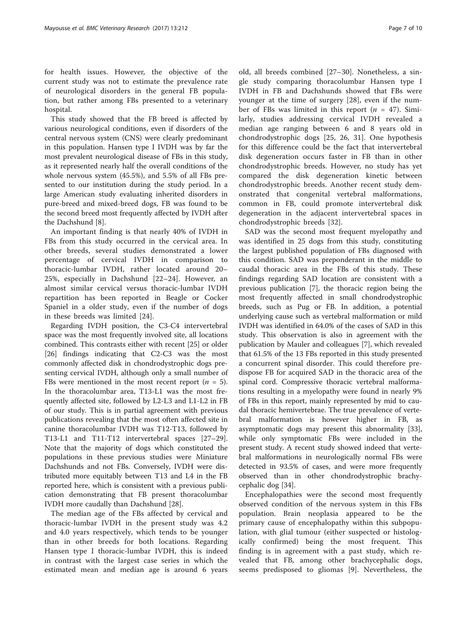for health issues. However, the objective of the current study was not to estimate the prevalence rate of neurological disorders in the general FB population, but rather among FBs presented to a veterinary hospital.

This study showed that the FB breed is affected by various neurological conditions, even if disorders of the central nervous system (CNS) were clearly predominant in this population. Hansen type I IVDH was by far the most prevalent neurological disease of FBs in this study, as it represented nearly half the overall conditions of the whole nervous system (45.5%), and 5.5% of all FBs presented to our institution during the study period. In a large American study evaluating inherited disorders in pure-breed and mixed-breed dogs, FB was found to be the second breed most frequently affected by IVDH after the Dachshund [[8\]](#page-8-0).

An important finding is that nearly 40% of IVDH in FBs from this study occurred in the cervical area. In other breeds, several studies demonstrated a lower percentage of cervical IVDH in comparison to thoracic-lumbar IVDH, rather located around 20– 25%, especially in Dachshund [\[22](#page-8-0)–[24](#page-8-0)]. However, an almost similar cervical versus thoracic-lumbar IVDH repartition has been reported in Beagle or Cocker Spaniel in a older study, even if the number of dogs in these breeds was limited [[24](#page-8-0)].

Regarding IVDH position, the C3-C4 intervertebral space was the most frequently involved site, all locations combined. This contrasts either with recent [[25\]](#page-8-0) or older [[26\]](#page-8-0) findings indicating that C2-C3 was the most commonly affected disk in chondrodystrophic dogs presenting cervical IVDH, although only a small number of FBs were mentioned in the most recent report  $(n = 5)$ . In the thoracolumbar area, T13-L1 was the most frequently affected site, followed by L2-L3 and L1-L2 in FB of our study. This is in partial agreement with previous publications revealing that the most often affected site in canine thoracolumbar IVDH was T12-T13, followed by T13-L1 and T11-T12 intervertebral spaces [[27](#page-8-0)–[29](#page-8-0)]. Note that the majority of dogs which constituted the populations in these previous studies were Miniature Dachshunds and not FBs. Conversely, IVDH were distributed more equitably between T13 and L4 in the FB reported here, which is consistent with a previous publication demonstrating that FB present thoracolumbar IVDH more caudally than Dachshund [[28](#page-8-0)].

The median age of the FBs affected by cervical and thoracic-lumbar IVDH in the present study was 4.2 and 4.0 years respectively, which tends to be younger than in other breeds for both locations. Regarding Hansen type I thoracic-lumbar IVDH, this is indeed in contrast with the largest case series in which the estimated mean and median age is around 6 years old, all breeds combined [[27](#page-8-0)–[30\]](#page-9-0). Nonetheless, a single study comparing thoracolumbar Hansen type I IVDH in FB and Dachshunds showed that FBs were younger at the time of surgery [\[28](#page-8-0)], even if the number of FBs was limited in this report ( $n = 47$ ). Similarly, studies addressing cervical IVDH revealed a median age ranging between 6 and 8 years old in chondrodystrophic dogs [[25](#page-8-0), [26,](#page-8-0) [31](#page-9-0)]. One hypothesis for this difference could be the fact that intervertebral disk degeneration occurs faster in FB than in other chondrodystrophic breeds. However, no study has yet compared the disk degeneration kinetic between chondrodystrophic breeds. Another recent study demonstrated that congenital vertebral malformations, common in FB, could promote intervertebral disk degeneration in the adjacent intervertebral spaces in chondrodystrophic breeds [[32\]](#page-9-0).

SAD was the second most frequent myelopathy and was identified in 25 dogs from this study, constituting the largest published population of FBs diagnosed with this condition. SAD was preponderant in the middle to caudal thoracic area in the FBs of this study. These findings regarding SAD location are consistent with a previous publication [[7\]](#page-8-0), the thoracic region being the most frequently affected in small chondrodystrophic breeds, such as Pug or FB. In addition, a potential underlying cause such as vertebral malformation or mild IVDH was identified in 64.0% of the cases of SAD in this study. This observation is also in agreement with the publication by Mauler and colleagues [\[7](#page-8-0)], which revealed that 61.5% of the 13 FBs reported in this study presented a concurrent spinal disorder. This could therefore predispose FB for acquired SAD in the thoracic area of the spinal cord. Compressive thoracic vertebral malformations resulting in a myelopathy were found in nearly 9% of FBs in this report, mainly represented by mid to caudal thoracic hemivertebrae. The true prevalence of vertebral malformation is however higher in FB, as asymptomatic dogs may present this abnormality [\[33](#page-9-0)], while only symptomatic FBs were included in the present study. A recent study showed indeed that vertebral malformations in neurologically normal FBs were detected in 93.5% of cases, and were more frequently observed than in other chondrodystrophic brachycephalic dog [\[34\]](#page-9-0).

Encephalopathies were the second most frequently observed condition of the nervous system in this FBs population. Brain neoplasia appeared to be the primary cause of encephalopathy within this subpopulation, with glial tumour (either suspected or histologically confirmed) being the most frequent. This finding is in agreement with a past study, which revealed that FB, among other brachycephalic dogs, seems predisposed to gliomas [\[9](#page-8-0)]. Nevertheless, the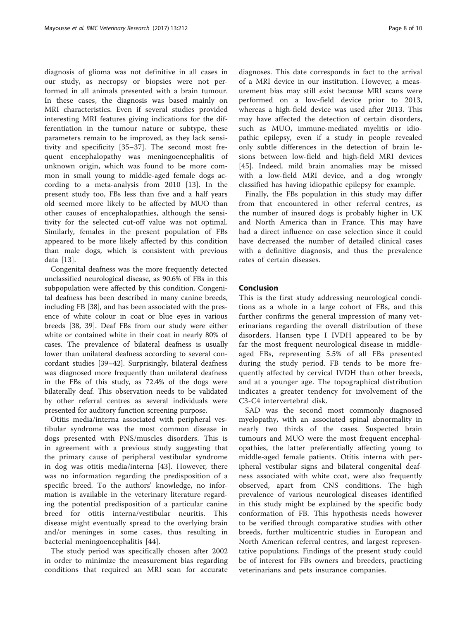diagnosis of glioma was not definitive in all cases in our study, as necropsy or biopsies were not performed in all animals presented with a brain tumour. In these cases, the diagnosis was based mainly on MRI characteristics. Even if several studies provided interesting MRI features giving indications for the differentiation in the tumour nature or subtype, these parameters remain to be improved, as they lack sensitivity and specificity [[35](#page-9-0)–[37\]](#page-9-0). The second most frequent encephalopathy was meningoencephalitis of unknown origin, which was found to be more common in small young to middle-aged female dogs according to a meta-analysis from 2010 [[13](#page-8-0)]. In the present study too, FBs less than five and a half years old seemed more likely to be affected by MUO than other causes of encephalopathies, although the sensitivity for the selected cut-off value was not optimal. Similarly, females in the present population of FBs appeared to be more likely affected by this condition than male dogs, which is consistent with previous data [\[13](#page-8-0)].

Congenital deafness was the more frequently detected unclassified neurological disease, as 90.6% of FBs in this subpopulation were affected by this condition. Congenital deafness has been described in many canine breeds, including FB [[38](#page-9-0)], and has been associated with the presence of white colour in coat or blue eyes in various breeds [\[38](#page-9-0), [39](#page-9-0)]. Deaf FBs from our study were either white or contained white in their coat in nearly 80% of cases. The prevalence of bilateral deafness is usually lower than unilateral deafness according to several concordant studies [\[39](#page-9-0)–[42\]](#page-9-0). Surprisingly, bilateral deafness was diagnosed more frequently than unilateral deafness in the FBs of this study, as 72.4% of the dogs were bilaterally deaf. This observation needs to be validated by other referral centres as several individuals were presented for auditory function screening purpose.

Otitis media/interna associated with peripheral vestibular syndrome was the most common disease in dogs presented with PNS/muscles disorders. This is in agreement with a previous study suggesting that the primary cause of peripheral vestibular syndrome in dog was otitis media/interna [\[43](#page-9-0)]. However, there was no information regarding the predisposition of a specific breed. To the authors' knowledge, no information is available in the veterinary literature regarding the potential predisposition of a particular canine breed for otitis interna/vestibular neuritis. This disease might eventually spread to the overlying brain and/or meninges in some cases, thus resulting in bacterial meningoencephalitis [[44\]](#page-9-0).

The study period was specifically chosen after 2002 in order to minimize the measurement bias regarding conditions that required an MRI scan for accurate

diagnoses. This date corresponds in fact to the arrival of a MRI device in our institution. However, a measurement bias may still exist because MRI scans were performed on a low-field device prior to 2013, whereas a high-field device was used after 2013. This may have affected the detection of certain disorders, such as MUO, immune-mediated myelitis or idiopathic epilepsy, even if a study in people revealed only subtle differences in the detection of brain lesions between low-field and high-field MRI devices [[45\]](#page-9-0). Indeed, mild brain anomalies may be missed with a low-field MRI device, and a dog wrongly classified has having idiopathic epilepsy for example.

Finally, the FBs population in this study may differ from that encountered in other referral centres, as the number of insured dogs is probably higher in UK and North America than in France. This may have had a direct influence on case selection since it could have decreased the number of detailed clinical cases with a definitive diagnosis, and thus the prevalence rates of certain diseases.

## Conclusion

This is the first study addressing neurological conditions as a whole in a large cohort of FBs, and this further confirms the general impression of many veterinarians regarding the overall distribution of these disorders. Hansen type I IVDH appeared to be by far the most frequent neurological disease in middleaged FBs, representing 5.5% of all FBs presented during the study period. FB tends to be more frequently affected by cervical IVDH than other breeds, and at a younger age. The topographical distribution indicates a greater tendency for involvement of the C3-C4 intervertebral disk.

SAD was the second most commonly diagnosed myelopathy, with an associated spinal abnormality in nearly two thirds of the cases. Suspected brain tumours and MUO were the most frequent encephalopathies, the latter preferentially affecting young to middle-aged female patients. Otitis interna with peripheral vestibular signs and bilateral congenital deafness associated with white coat, were also frequently observed, apart from CNS conditions. The high prevalence of various neurological diseases identified in this study might be explained by the specific body conformation of FB. This hypothesis needs however to be verified through comparative studies with other breeds, further multicentric studies in European and North American referral centres, and largest representative populations. Findings of the present study could be of interest for FBs owners and breeders, practicing veterinarians and pets insurance companies.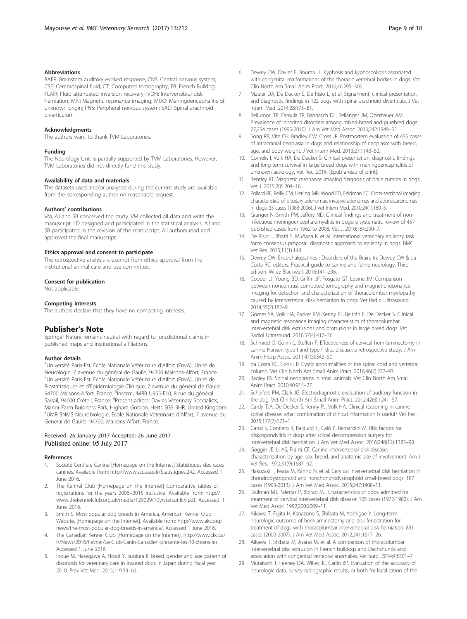#### <span id="page-8-0"></span>Abbreviations

BAER: Brainstem auditory evoked response; CNS: Central nervous system; CSF: Cerebrospinal fluid; CT: Computed tomography; FB: French Bulldog; FLAIR: Fluid attenuated inversion recovery; IVDH: Intervertebral disk herniation; MRI: Magnetic resonance imaging; MUO: Meningoencephalitis of unknown origin; PNS: Peripheral nervous system; SAD: Spinal arachnoid diverticulum

#### Acknowledgments

The authors want to thank TVM Laboratories.

#### Funding

The Neurology Unit is partially supported by TVM Laboratories. However, TVM Laboratories did not directly fund this study.

#### Availability of data and materials

The datasets used and/or analysed during the current study are available from the corresponding author on reasonable request.

#### Authors' contributions

VM, AJ and SB conceived the study. VM collected all data and write the manuscript. LD designed and participated in the statistical analysis. AJ and SB participated in the revision of the manuscript. All authors read and approved the final manuscript.

#### Ethics approval and consent to participate

The retrospective analysis is exempt from ethics approval from the institutional animal care and use committee.

#### Consent for publication

Not applicable.

#### Competing interests

The authors declare that they have no competing interests.

#### Publisher's Note

Springer Nature remains neutral with regard to jurisdictional claims in published maps and institutional affiliations.

#### Author details

<sup>1</sup>Université Paris-Est, Ecole Nationale Vétérinaire d'Alfort (EnvA), Unité de Neurologie, 7 avenue du général de Gaulle, 94700 Maisons-Alfort, France. 2 Université Paris-Est, Ecole Nationale Vétérinaire d'Alfort (EnvA), Unité de Biostatistiques et d'Epidémiologie Clinique, 7 avenue du général de Gaulle, 94700 Maisons-Alfort, France. <sup>3</sup>Inserm, IMRB U955-E10, 8 rue du général Sarrail, 94000 Créteil, France. <sup>4</sup>Present adress: Davies Veterinary Specialists, Manor Farm Buisiness Park, Higham Gobion, Herts SG5 3HR, United Kingdom. 5 UMR BNMS Neurobiologie, Ecole Nationale Veterinaire d'Alfort, 7 avenue du General de Gaulle, 94700, Maisons Alfort, France.

#### Received: 26 January 2017 Accepted: 26 June 2017 Published online: 05 July 2017

#### References

- 1. Société Centrale Canine [Homepage on the Internet] Statistiques des races canines. Available from:<http://www.scc.asso.fr/Statistiques>,242. Accessed 1 June 2016.
- 2. The Kennel Club [Homepage on the Internet] Comparative tables of registrations for the years 2006–2015 inclusive. Available from: [http://](http://www.thekennelclub.org.uk/media/129029/10yrstatsutility.pdf) [www.thekennelclub.org.uk/media/129029/10yrstatsutility.pdf](http://www.thekennelclub.org.uk/media/129029/10yrstatsutility.pdf). Accessed 1 June 2016.
- 3. Smith S. Most popular dog breeds in America, American Kennel Club Website. [Homepage on the Internet]. Available from: [http://www.akc.org/](http://www.akc.org/news/the-most-popular-dog-breeds-in-america/) [news/the-most-popular-dog-breeds-in-america/.](http://www.akc.org/news/the-most-popular-dog-breeds-in-america/) Accessed 1 June 2016.
- 4. The Canadian Kennel Club [Homepage on the Internet]. [http://www.ckc.ca/](http://www.ckc.ca/fr/News/2016/Fevrier/Le-Club-Canin-Canadien-presente-les-10-chiens-les) [fr/News/2016/Fevrier/Le-Club-Canin-Canadien-presente-les-10-chiens-les.](http://www.ckc.ca/fr/News/2016/Fevrier/Le-Club-Canin-Canadien-presente-les-10-chiens-les) Accessed 1 June 2016.
- 5. Inoue M, Hasegawa A, Hosoi Y, Sugiura K. Breed, gender and age pattern of diagnosis for veterinary care in insured dogs in Japan during fiscal year 2010. Prev Vet Med. 2015;119:54–60.
- 6. Dewey CW, Davies E, Bouma JL. Kyphosis and kyphoscoliosis associated with congenital malformations of the thoracic vertebral bodies in dogs. Vet Clin North Am Small Anim Pract. 2016;46:295–306.
- 7. Mauler DA, De Decker S, De Risio L, et al. Signalment, clinical presentation, and diagnostic findings in 122 dogs with spinal arachnoid diverticula. J Vet Intern Med. 2014;28:175–81.
- 8. Bellumori TP, Famula TR, Bannasch DL, Bellanger JM, Oberbauer AM. Prevalence of inherited disorders among mixed-breed and purebred dogs: 27,254 cases (1995-2010). J Am Vet Med Assoc. 2013;242:1549–55.
- 9. Song RB, Vite CH, Bradley CW, Cross JR. Postmortem evaluation of 435 cases of intracranial neoplasia in dogs and relationship of neoplasm with breed, age, and body weight. J Vet Intern Med. 2013;27:1143–52.
- 10. Cornelis I, Volk HA, De Decker S. Clinical presentation, diagnostic findings and long-term survival in large breed dogs with meningoencephalitis of unknown aetiology. Vet Rec. 2016. [Epub ahead of print].
- 11. Bentley RT. Magnetic resonance imaging diagnosis of brain tumors in dogs. Vet J. 2015;205:204–16.
- 12. Pollard RE, Reilly CM, Uerling MR, Wood FD, Feldman EC. Cross-sectional imaging characteristics of pituitary adenomas, invasive adenomas and adenocarcinomas in dogs: 33 cases (1988-2006). J Vet Intern Med. 2010;24(1):160–5.
- 13. Granger N, Smith PM, Jeffery ND. Clinical findings and treatment of noninfectious meningoencephalomyelitis in dogs: a systematic review of 457 published cases from 1962 to 2008. Vet J. 2010;184:290–7.
- 14. De Risio L, Bhatti S, Muñana K, et al. International veterinary epilepsy task force consensus proposal: diagnostic approach to epilepsy in dogs. BMC Vet Res. 2015;11(1):148.
- 15. Dewey CW. Encephalopathies : Disorders of the Brain. In: Dewey CW & da Costa RC, editors. Practical guide to canine and feline neurology. Third edition. Wiley Blackwell. 2016:141–236.
- 16. Cooper JJ, Young BD, Griffin JF, Fosgate GT, Levine JM. Comparison between noncontrast computed tomography and magnetic resonance imaging for detection and characterization of thoracolumbar myelopathy caused by intervertebral disk herniation in dogs. Vet Radiol Ultrasound. 2014;55(2):182–9.
- 17. Gomes SA, Volk HA, Packer RM, Kenny PJ, Beltrán E, De Decker S. Clinical and magnetic resonance imaging characteristics of thoracolumbar intervertebral disk extrusions and protrusions in large breed dogs. Vet Radiol Ultrasound. 2016;57(4):417–26.
- 18. Schmied O, Golini L, Steffen F. Effectiveness of cervical hemilaminectomy in canine Hansen type I and type II disc disease: a retrospective study. J Am Anim Hosp Assoc. 2011;47(5):342–50.
- 19. da Costa RC, Cook LB. Cystic abnormalities of the spinal cord and vertebral column. Vet Clin North Am Small Anim Pract. 2016;46(2):277–93.
- 20. Bagley RS. Spinal neoplasms in small animals. Vet Clin North Am Small Anim Pract. 2010;40:915–27.
- 21. Scheifele PM, Clark JG. Electrodiagnostic evaluation of auditory function in the dog. Vet Clin North Am Small Anim Pract. 2012;42(6):1241–57.
- 22. Cardy TJA, De Decker S, Kenny PJ, Volk HA. Clinical reasoning in canine spinal disease: what combination of clinical information is useful? Vet Rec. 2015;177(7):171–1.
- 23. Canal S, Contiero B, Balducci F, Calò P, Bernardini M. Risk factors for diskospondylitis in dogs after spinal decompression surgery for intervertebral disk herniation. J Am Vet Med Assoc. 2016;248(12):1383–90.
- 24. Goggin JE, Li AS, Franti CE. Canine intervertebral disk disease: characterization by age, sex, breed, and anatomic site of involvement. Am J Vet Res. 1970;31(9):1687–92.
- 25. Hakozaki T, Iwata M, Kanno N, et al. Cervical intervertebral disk herniation in chondrodystrophoid and nonchondrodystrophoid small-breed dogs: 187 cases (1993-2013). J Am Vet Med Assoc. 2015;247:1408–11.
- 26. Dallman MJ, Palettas P, Bojrab MJ. Characteristics of dogs admitted for treatment of cervical intervertebral disk disease: 105 cases (1972-1982). J Am Vet Med Assoc. 1992;200:2009–11.
- 27. Aikawa T, Fujita H, Kanazono S, Shibata M, Yoshigae Y. Long-term neurologic outcome of hemilaminectomy and disk fenestration for treatment of dogs with thoracolumbar intervertebral disk herniation: 831 cases (2000-2007). J Am Vet Med Assoc. 2012;241:1617–26.
- 28. Aikawa T, Shibata M, Asano M, et al. A comparison of thoracolumbar intervertebral disc extrusion in French bulldogs and Dachshunds and association with congenital vertebral anomalies. Vet Surg. 2014;43:301–7.
- 29. Murakami T, Feeney DA, Willey JL, Carlin BP. Evaluation of the accuracy of neurologic data, survey radiographic results, or both for localization of the